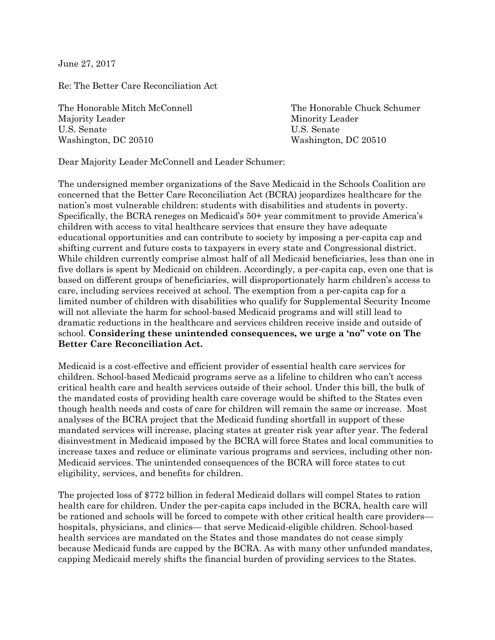June 27, 2017

Re: The Better Care Reconciliation Act

The Honorable Mitch McConnell The Honorable Chuck Schumer Majority Leader **Minority Leader** Minority Leader U.S. Senate U.S. Senate Washington, DC 20510 Washington, DC 20510

Dear Majority Leader McConnell and Leader Schumer:

The undersigned member organizations of the Save Medicaid in the Schools Coalition are concerned that the Better Care Reconciliation Act (BCRA) jeopardizes healthcare for the nation's most vulnerable children: students with disabilities and students in poverty. Specifically, the BCRA reneges on Medicaid's 50+ year commitment to provide America's children with access to vital healthcare services that ensure they have adequate educational opportunities and can contribute to society by imposing a per-capita cap and shifting current and future costs to taxpayers in every state and Congressional district. While children currently comprise almost half of all Medicaid beneficiaries, less than one in five dollars is spent by Medicaid on children. Accordingly, a per-capita cap, even one that is based on different groups of beneficiaries, will disproportionately harm children's access to care, including services received at school. The exemption from a per-capita cap for a limited number of children with disabilities who qualify for Supplemental Security Income will not alleviate the harm for school-based Medicaid programs and will still lead to dramatic reductions in the healthcare and services children receive inside and outside of school. **Considering these unintended consequences, we urge a 'no" vote on The Better Care Reconciliation Act.** 

Medicaid is a cost-effective and efficient provider of essential health care services for children. School-based Medicaid programs serve as a lifeline to children who can't access critical health care and health services outside of their school. Under this bill, the bulk of the mandated costs of providing health care coverage would be shifted to the States even though health needs and costs of care for children will remain the same or increase. Most analyses of the BCRA project that the Medicaid funding shortfall in support of these mandated services will increase, placing states at greater risk year after year. The federal disinvestment in Medicaid imposed by the BCRA will force States and local communities to increase taxes and reduce or eliminate various programs and services, including other non-Medicaid services. The unintended consequences of the BCRA will force states to cut eligibility, services, and benefits for children.

The projected loss of \$772 billion in federal Medicaid dollars will compel States to ration health care for children. Under the per-capita caps included in the BCRA, health care will be rationed and schools will be forced to compete with other critical health care providers hospitals, physicians, and clinics— that serve Medicaid-eligible children. School-based health services are mandated on the States and those mandates do not cease simply because Medicaid funds are capped by the BCRA. As with many other unfunded mandates, capping Medicaid merely shifts the financial burden of providing services to the States.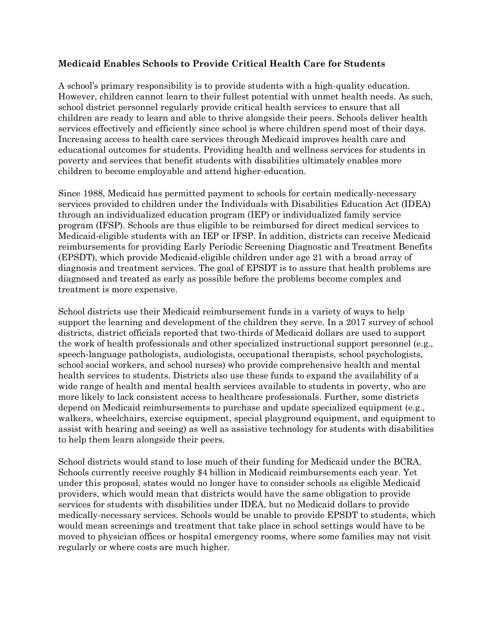## **Medicaid Enables Schools to Provide Critical Health Care for Students**

A school's primary responsibility is to provide students with a high-quality education. However, children cannot learn to their fullest potential with unmet health needs. As such, school district personnel regularly provide critical health services to ensure that all children are ready to learn and able to thrive alongside their peers. Schools deliver health services effectively and efficiently since school is where children spend most of their days. Increasing access to health care services through Medicaid improves health care and educational outcomes for students. Providing health and wellness services for students in poverty and services that benefit students with disabilities ultimately enables more children to become employable and attend higher-education.

Since 1988, Medicaid has permitted payment to schools for certain medically-necessary services provided to children under the Individuals with Disabilities Education Act (IDEA) through an individualized education program (IEP) or individualized family service program (IFSP). Schools are thus eligible to be reimbursed for direct medical services to Medicaid-eligible students with an IEP or IFSP. In addition, districts can receive Medicaid reimbursements for providing Early Periodic Screening Diagnostic and Treatment Benefits (EPSDT), which provide Medicaid-eligible children under age 21 with a broad array of diagnosis and treatment services. The goal of EPSDT is to assure that health problems are diagnosed and treated as early as possible before the problems become complex and treatment is more expensive.

School districts use their Medicaid reimbursement funds in a variety of ways to help support the learning and development of the children they serve. In a 2017 survey of school districts, district officials reported that two-thirds of Medicaid dollars are used to support the work of health professionals and other specialized instructional support personnel (e.g., speech-language pathologists, audiologists, occupational therapists, school psychologists, school social workers, and school nurses) who provide comprehensive health and mental health services to students. Districts also use these funds to expand the availability of a wide range of health and mental health services available to students in poverty, who are more likely to lack consistent access to healthcare professionals. Further, some districts depend on Medicaid reimbursements to purchase and update specialized equipment (e.g., walkers, wheelchairs, exercise equipment, special playground equipment, and equipment to assist with hearing and seeing) as well as assistive technology for students with disabilities to help them learn alongside their peers.

School districts would stand to lose much of their funding for Medicaid under the BCRA. Schools currently receive roughly \$4 billion in Medicaid reimbursements each year. Yet under this proposal, states would no longer have to consider schools as eligible Medicaid providers, which would mean that districts would have the same obligation to provide services for students with disabilities under IDEA, but no Medicaid dollars to provide medically-necessary services. Schools would be unable to provide EPSDT to students, which would mean screenings and treatment that take place in school settings would have to be moved to physician offices or hospital emergency rooms, where some families may not visit regularly or where costs are much higher.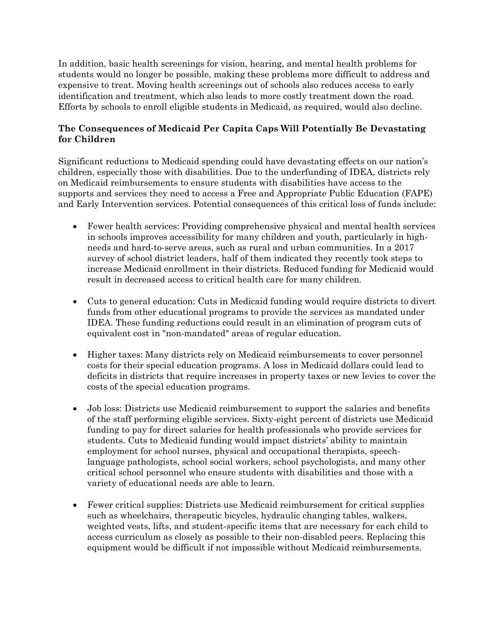In addition, basic health screenings for vision, hearing, and mental health problems for students would no longer be possible, making these problems more difficult to address and expensive to treat. Moving health screenings out of schools also reduces access to early identification and treatment, which also leads to more costly treatment down the road. Efforts by schools to enroll eligible students in Medicaid, as required, would also decline.

## **The Consequences of Medicaid Per Capita Caps Will Potentially Be Devastating for Children**

Significant reductions to Medicaid spending could have devastating effects on our nation's children, especially those with disabilities. Due to the underfunding of IDEA, districts rely on Medicaid reimbursements to ensure students with disabilities have access to the supports and services they need to access a Free and Appropriate Public Education (FAPE) and Early Intervention services. Potential consequences of this critical loss of funds include:

- Fewer health services: Providing comprehensive physical and mental health services in schools improves accessibility for many children and youth, particularly in highneeds and hard-to-serve areas, such as rural and urban communities. In a 2017 survey of school district leaders, half of them indicated they recently took steps to increase Medicaid enrollment in their districts. Reduced funding for Medicaid would result in decreased access to critical health care for many children.
- Cuts to general education: Cuts in Medicaid funding would require districts to divert funds from other educational programs to provide the services as mandated under IDEA. These funding reductions could result in an elimination of program cuts of equivalent cost in "non-mandated" areas of regular education.
- Higher taxes: Many districts rely on Medicaid reimbursements to cover personnel costs for their special education programs. A loss in Medicaid dollars could lead to deficits in districts that require increases in property taxes or new levies to cover the costs of the special education programs.
- Job loss: Districts use Medicaid reimbursement to support the salaries and benefits of the staff performing eligible services. Sixty-eight percent of districts use Medicaid funding to pay for direct salaries for health professionals who provide services for students. Cuts to Medicaid funding would impact districts' ability to maintain employment for school nurses, physical and occupational therapists, speechlanguage pathologists, school social workers, school psychologists, and many other critical school personnel who ensure students with disabilities and those with a variety of educational needs are able to learn.
- Fewer critical supplies: Districts use Medicaid reimbursement for critical supplies such as wheelchairs, therapeutic bicycles, hydraulic changing tables, walkers, weighted vests, lifts, and student-specific items that are necessary for each child to access curriculum as closely as possible to their non-disabled peers. Replacing this equipment would be difficult if not impossible without Medicaid reimbursements.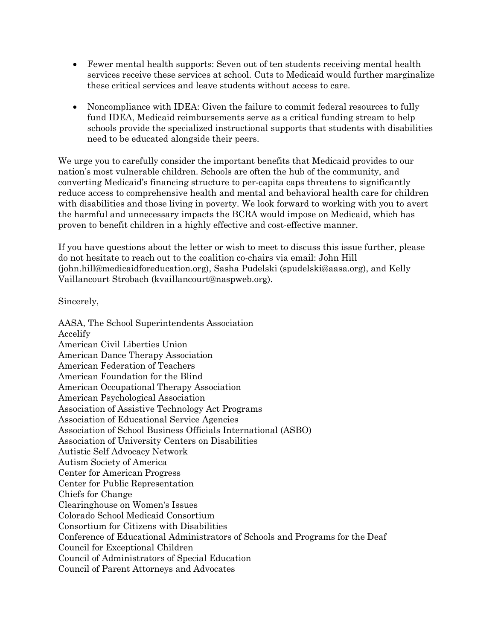- Fewer mental health supports: Seven out of ten students receiving mental health services receive these services at school. Cuts to Medicaid would further marginalize these critical services and leave students without access to care.
- Noncompliance with IDEA: Given the failure to commit federal resources to fully fund IDEA, Medicaid reimbursements serve as a critical funding stream to help schools provide the specialized instructional supports that students with disabilities need to be educated alongside their peers.

We urge you to carefully consider the important benefits that Medicaid provides to our nation's most vulnerable children. Schools are often the hub of the community, and converting Medicaid's financing structure to per-capita caps threatens to significantly reduce access to comprehensive health and mental and behavioral health care for children with disabilities and those living in poverty. We look forward to working with you to avert the harmful and unnecessary impacts the BCRA would impose on Medicaid, which has proven to benefit children in a highly effective and cost-effective manner.

If you have questions about the letter or wish to meet to discuss this issue further, please do not hesitate to reach out to the coalition co-chairs via email: John Hill (john.hill@medicaidforeducation.org), Sasha Pudelski (spudelski@aasa.org), and Kelly Vaillancourt Strobach (kvaillancourt@naspweb.org).

Sincerely,

AASA, The School Superintendents Association Accelify American Civil Liberties Union American Dance Therapy Association American Federation of Teachers American Foundation for the Blind American Occupational Therapy Association American Psychological Association Association of Assistive Technology Act Programs Association of Educational Service Agencies Association of School Business Officials International (ASBO) Association of University Centers on Disabilities Autistic Self Advocacy Network Autism Society of America Center for American Progress Center for Public Representation Chiefs for Change Clearinghouse on Women's Issues Colorado School Medicaid Consortium Consortium for Citizens with Disabilities Conference of Educational Administrators of Schools and Programs for the Deaf Council for Exceptional Children Council of Administrators of Special Education Council of Parent Attorneys and Advocates